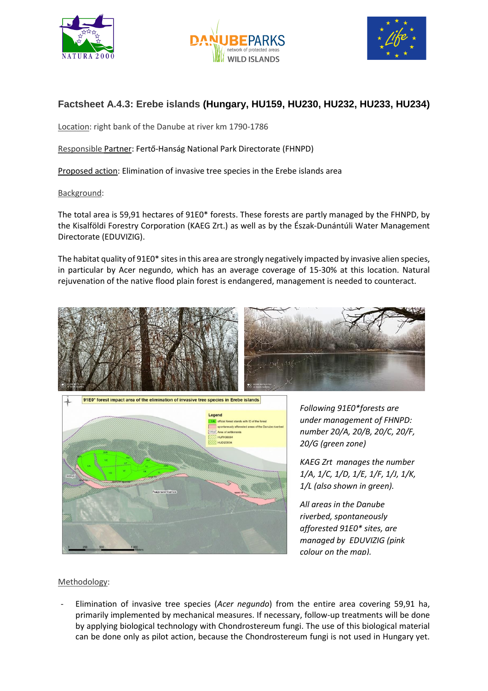





## **Factsheet A.4.3: Erebe islands (Hungary, HU159, HU230, HU232, HU233, HU234)**

Location: right bank of the Danube at river km 1790-1786

Responsible Partner: Fertő-Hanság National Park Directorate (FHNPD)

Proposed action: Elimination of invasive tree species in the Erebe islands area

Background:

The total area is 59,91 hectares of 91E0\* forests. These forests are partly managed by the FHNPD, by the Kisalföldi Forestry Corporation (KAEG Zrt.) as well as by the Észak-Dunántúli Water Management Directorate (EDUVIZIG).

The habitat quality of 91E0\* sites in this area are strongly negatively impacted by invasive alien species, in particular by Acer negundo, which has an average coverage of 15-30% at this location. Natural rejuvenation of the native flood plain forest is endangered, management is needed to counteract.





*Following 91E0\*forests are under management of FHNPD: number 20/A, 20/B, 20/C, 20/F, 20/G (green zone)*

*KAEG Zrt manages the number 1/A, 1/C, 1/D, 1/E, 1/F, 1/J, 1/K, 1/L (also shown in green).*

*All areas in the Danube riverbed, spontaneously afforested 91E0\* sites, are managed by EDUVIZIG (pink colour on the map).*

## Methodology:

- Elimination of invasive tree species (*Acer negundo*) from the entire area covering 59,91 ha, primarily implemented by mechanical measures. If necessary, follow-up treatments will be done by applying biological technology with Chondrostereum fungi. The use of this biological material can be done only as pilot action, because the Chondrostereum fungi is not used in Hungary yet.